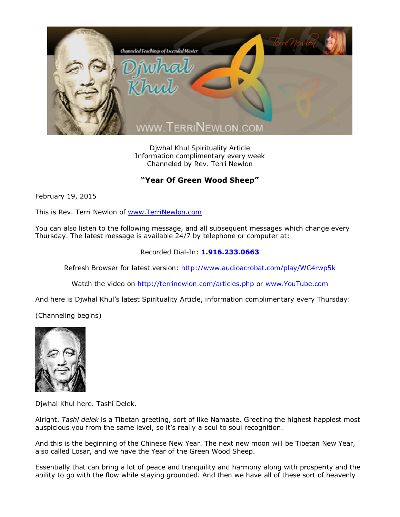

Djwhal Khul Spirituality Article Information complimentary every week Channeled by Rev. Terri Newlon

## **"Year Of Green Wood Sheep"**

February 19, 2015

This is Rev. Terri Newlon of [www.TerriNewlon.com](http://www.terrinewlon.com/)

You can also listen to the following message, and all subsequent messages which change every Thursday. The latest message is available 24/7 by telephone or computer at:

## Recorded Dial-In: **1.916.233.0663**

Refresh Browser for latest version: <http://www.audioacrobat.com/play/WC4rwp5k>

Watch the video on <http://terrinewlon.com/articles.php> or [www.YouTube.com](http://www.youtube.com/)

And here is Djwhal Khul's latest Spirituality Article, information complimentary every Thursday:

(Channeling begins)



Djwhal Khul here. Tashi Delek.

Alright. *Tashi delek* is a Tibetan greeting, sort of like Namaste. Greeting the highest happiest most auspicious you from the same level, so it's really a soul to soul recognition.

And this is the beginning of the Chinese New Year. The next new moon will be Tibetan New Year, also called Losar, and we have the Year of the Green Wood Sheep.

Essentially that can bring a lot of peace and tranquility and harmony along with prosperity and the ability to go with the flow while staying grounded. And then we have all of these sort of heavenly